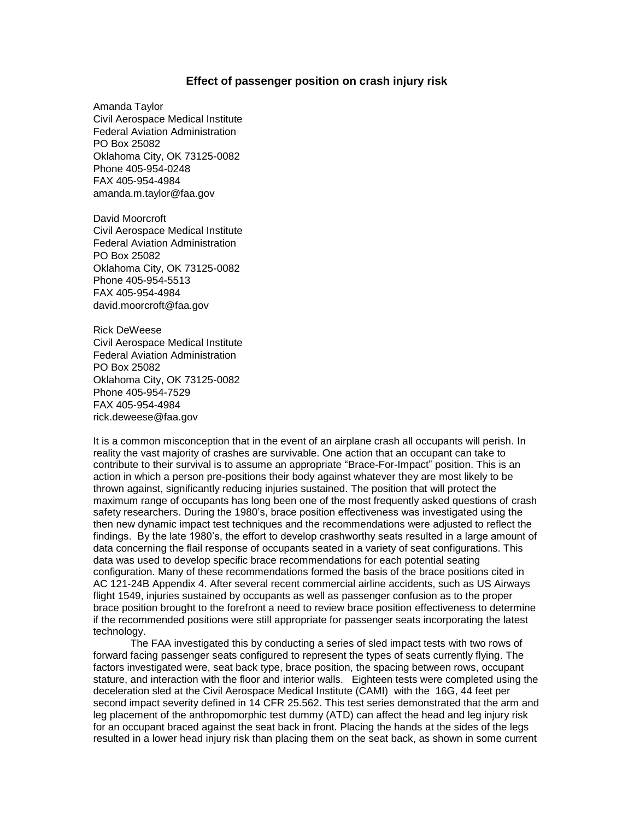## **Effect of passenger position on crash injury risk**

Amanda Taylor Civil Aerospace Medical Institute Federal Aviation Administration PO Box 25082 Oklahoma City, OK 73125-0082 Phone 405-954-0248 FAX 405-954-4984 amanda.m.taylor@faa.gov

David Moorcroft Civil Aerospace Medical Institute Federal Aviation Administration PO Box 25082 Oklahoma City, OK 73125-0082 Phone 405-954-5513 FAX 405-954-4984 david.moorcroft@faa.gov

Rick DeWeese Civil Aerospace Medical Institute Federal Aviation Administration PO Box 25082 Oklahoma City, OK 73125-0082 Phone 405-954-7529 FAX 405-954-4984 rick.deweese@faa.gov

It is a common misconception that in the event of an airplane crash all occupants will perish. In reality the vast majority of crashes are survivable. One action that an occupant can take to contribute to their survival is to assume an appropriate "Brace-For-Impact" position. This is an action in which a person pre-positions their body against whatever they are most likely to be thrown against, significantly reducing injuries sustained. The position that will protect the maximum range of occupants has long been one of the most frequently asked questions of crash safety researchers. During the 1980's, brace position effectiveness was investigated using the then new dynamic impact test techniques and the recommendations were adjusted to reflect the findings. By the late 1980's, the effort to develop crashworthy seats resulted in a large amount of data concerning the flail response of occupants seated in a variety of seat configurations. This data was used to develop specific brace recommendations for each potential seating configuration. Many of these recommendations formed the basis of the brace positions cited in AC 121-24B Appendix 4. After several recent commercial airline accidents, such as US Airways flight 1549, injuries sustained by occupants as well as passenger confusion as to the proper brace position brought to the forefront a need to review brace position effectiveness to determine if the recommended positions were still appropriate for passenger seats incorporating the latest technology.

The FAA investigated this by conducting a series of sled impact tests with two rows of forward facing passenger seats configured to represent the types of seats currently flying. The factors investigated were, seat back type, brace position, the spacing between rows, occupant stature, and interaction with the floor and interior walls. Eighteen tests were completed using the deceleration sled at the Civil Aerospace Medical Institute (CAMI) with the 16G, 44 feet per second impact severity defined in 14 CFR 25.562. This test series demonstrated that the arm and leg placement of the anthropomorphic test dummy (ATD) can affect the head and leg injury risk for an occupant braced against the seat back in front. Placing the hands at the sides of the legs resulted in a lower head injury risk than placing them on the seat back, as shown in some current